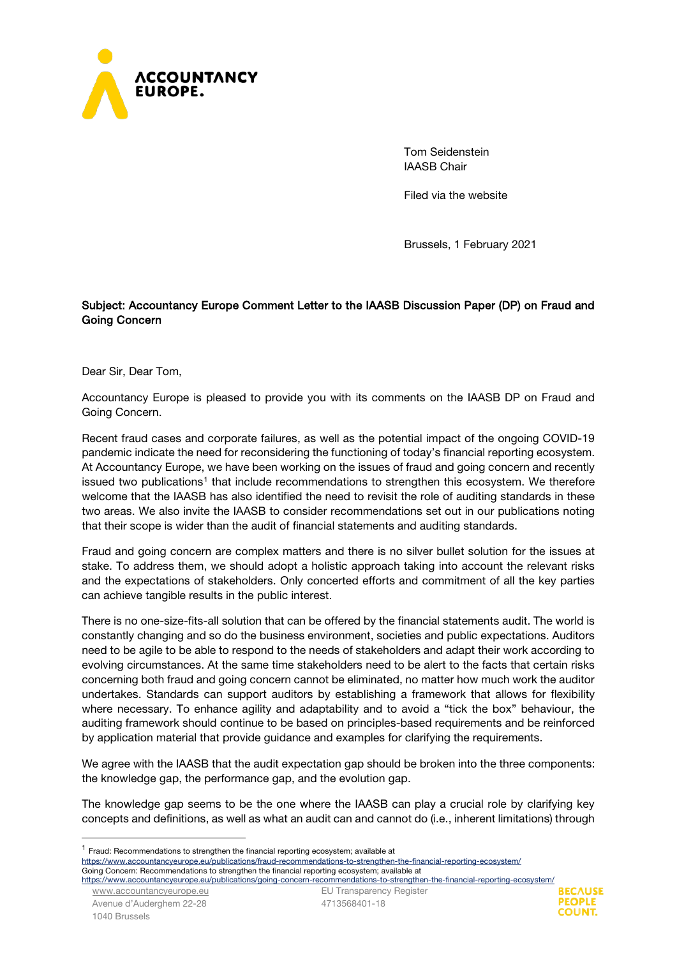

Tom Seidenstein IAASB Chair

Filed via the website

Brussels, 1 February 2021

# Subject: Accountancy Europe Comment Letter to the IAASB Discussion Paper (DP) on Fraud and Going Concern

Dear Sir, Dear Tom,

Accountancy Europe is pleased to provide you with its comments on the IAASB DP on Fraud and Going Concern.

Recent fraud cases and corporate failures, as well as the potential impact of the ongoing COVID-19 pandemic indicate the need for reconsidering the functioning of today's financial reporting ecosystem. At Accountancy Europe, we have been working on the issues of fraud and going concern and recently issued two publications<sup>[1](#page-0-0)</sup> that include recommendations to strengthen this ecosystem. We therefore welcome that the IAASB has also identified the need to revisit the role of auditing standards in these two areas. We also invite the IAASB to consider recommendations set out in our publications noting that their scope is wider than the audit of financial statements and auditing standards.

Fraud and going concern are complex matters and there is no silver bullet solution for the issues at stake. To address them, we should adopt a holistic approach taking into account the relevant risks and the expectations of stakeholders. Only concerted efforts and commitment of all the key parties can achieve tangible results in the public interest.

There is no one-size-fits-all solution that can be offered by the financial statements audit. The world is constantly changing and so do the business environment, societies and public expectations. Auditors need to be agile to be able to respond to the needs of stakeholders and adapt their work according to evolving circumstances. At the same time stakeholders need to be alert to the facts that certain risks concerning both fraud and going concern cannot be eliminated, no matter how much work the auditor undertakes. Standards can support auditors by establishing a framework that allows for flexibility where necessary. To enhance agility and adaptability and to avoid a "tick the box" behaviour, the auditing framework should continue to be based on principles-based requirements and be reinforced by application material that provide guidance and examples for clarifying the requirements.

We agree with the IAASB that the audit expectation gap should be broken into the three components: the knowledge gap, the performance gap, and the evolution gap.

The knowledge gap seems to be the one where the IAASB can play a crucial role by clarifying key concepts and definitions, as well as what an audit can and cannot do (i.e., inherent limitations) through

<https://www.accountancyeurope.eu/publications/going-concern-recommendations-to-strengthen-the-financial-reporting-ecosystem/>

[www.accountancyeurope.eu](http://www.accountancyeurope.eu/) Avenue d'Auderghem 22-28 1040 Brussels

EU Transparency Register 4713568401-18



<span id="page-0-0"></span><sup>1</sup> Fraud: Recommendations to strengthen the financial reporting ecosystem; available at

<https://www.accountancyeurope.eu/publications/fraud-recommendations-to-strengthen-the-financial-reporting-ecosystem/> Going Concern: Recommendations to strengthen the financial reporting ecosystem; available at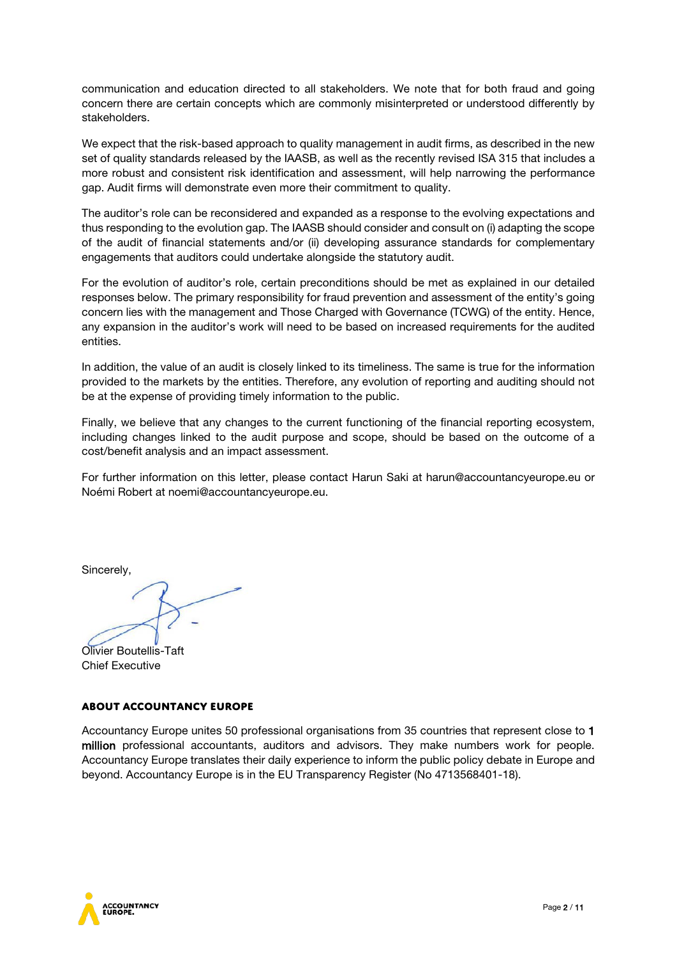communication and education directed to all stakeholders. We note that for both fraud and going concern there are certain concepts which are commonly misinterpreted or understood differently by stakeholders.

We expect that the risk-based approach to quality management in audit firms, as described in the new set of quality standards released by the IAASB, as well as the recently revised ISA 315 that includes a more robust and consistent risk identification and assessment, will help narrowing the performance gap. Audit firms will demonstrate even more their commitment to quality.

The auditor's role can be reconsidered and expanded as a response to the evolving expectations and thus responding to the evolution gap. The IAASB should consider and consult on (i) adapting the scope of the audit of financial statements and/or (ii) developing assurance standards for complementary engagements that auditors could undertake alongside the statutory audit.

For the evolution of auditor's role, certain preconditions should be met as explained in our detailed responses below. The primary responsibility for fraud prevention and assessment of the entity's going concern lies with the management and Those Charged with Governance (TCWG) of the entity. Hence, any expansion in the auditor's work will need to be based on increased requirements for the audited entities.

In addition, the value of an audit is closely linked to its timeliness. The same is true for the information provided to the markets by the entities. Therefore, any evolution of reporting and auditing should not be at the expense of providing timely information to the public.

Finally, we believe that any changes to the current functioning of the financial reporting ecosystem, including changes linked to the audit purpose and scope, should be based on the outcome of a cost/benefit analysis and an impact assessment.

For further information on this letter, please contact Harun Saki at [harun@accountancyeurope.eu](mailto:harun@accountancyeurope.eu) or Noémi Robert at [noemi@accountancyeurope.eu.](mailto:noemi@accountancyeurope.eu)

Sincerely,

Olivier Boutellis-Taft Chief Executive

# **About Accountancy Europe**

Accountancy Europe unites 50 professional organisations from 35 countries that represent close to 1 million professional accountants, auditors and advisors. They make numbers work for people. Accountancy Europe translates their daily experience to inform the public policy debate in Europe and beyond. Accountancy Europe is in the EU Transparency Register (No 4713568401-18).

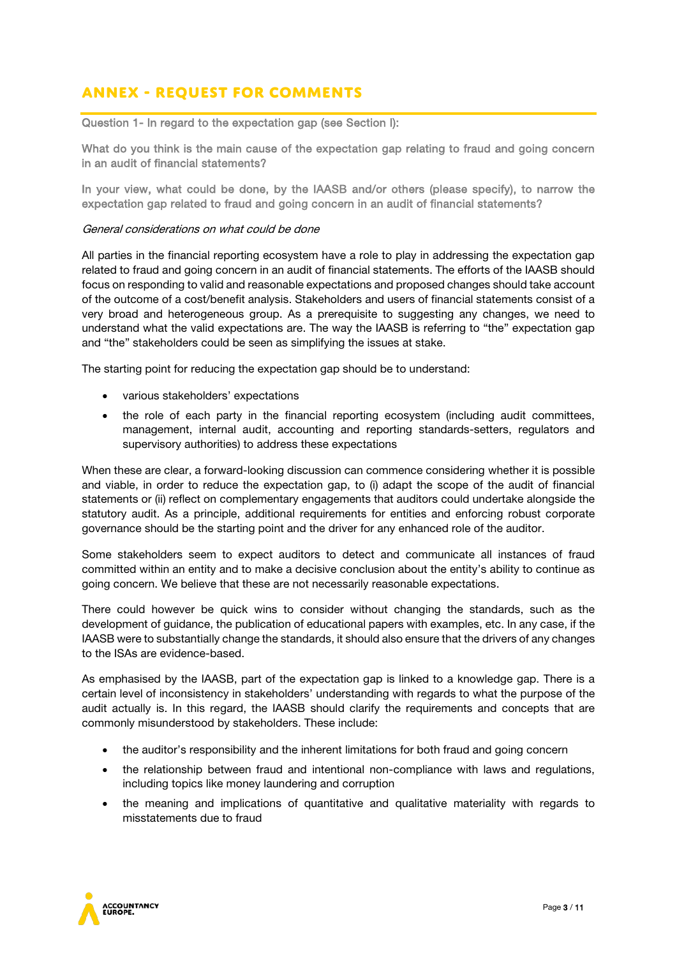# **Annex - Request for Comments**

Question 1- In regard to the expectation gap (see Section I):

What do you think is the main cause of the expectation gap relating to fraud and going concern in an audit of financial statements?

In your view, what could be done, by the IAASB and/or others (please specify), to narrow the expectation gap related to fraud and going concern in an audit of financial statements?

#### General considerations on what could be done

All parties in the financial reporting ecosystem have a role to play in addressing the expectation gap related to fraud and going concern in an audit of financial statements. The efforts of the IAASB should focus on responding to valid and reasonable expectations and proposed changes should take account of the outcome of a cost/benefit analysis. Stakeholders and users of financial statements consist of a very broad and heterogeneous group. As a prerequisite to suggesting any changes, we need to understand what the valid expectations are. The way the IAASB is referring to "the" expectation gap and "the" stakeholders could be seen as simplifying the issues at stake.

The starting point for reducing the expectation gap should be to understand:

- various stakeholders' expectations
- the role of each party in the financial reporting ecosystem (including audit committees, management, internal audit, accounting and reporting standards-setters, regulators and supervisory authorities) to address these expectations

When these are clear, a forward-looking discussion can commence considering whether it is possible and viable, in order to reduce the expectation gap, to (i) adapt the scope of the audit of financial statements or (ii) reflect on complementary engagements that auditors could undertake alongside the statutory audit. As a principle, additional requirements for entities and enforcing robust corporate governance should be the starting point and the driver for any enhanced role of the auditor.

Some stakeholders seem to expect auditors to detect and communicate all instances of fraud committed within an entity and to make a decisive conclusion about the entity's ability to continue as going concern. We believe that these are not necessarily reasonable expectations.

There could however be quick wins to consider without changing the standards, such as the development of guidance, the publication of educational papers with examples, etc. In any case, if the IAASB were to substantially change the standards, it should also ensure that the drivers of any changes to the ISAs are evidence-based.

As emphasised by the IAASB, part of the expectation gap is linked to a knowledge gap. There is a certain level of inconsistency in stakeholders' understanding with regards to what the purpose of the audit actually is. In this regard, the IAASB should clarify the requirements and concepts that are commonly misunderstood by stakeholders. These include:

- the auditor's responsibility and the inherent limitations for both fraud and going concern
- the relationship between fraud and intentional non-compliance with laws and regulations, including topics like money laundering and corruption
- the meaning and implications of quantitative and qualitative materiality with regards to misstatements due to fraud

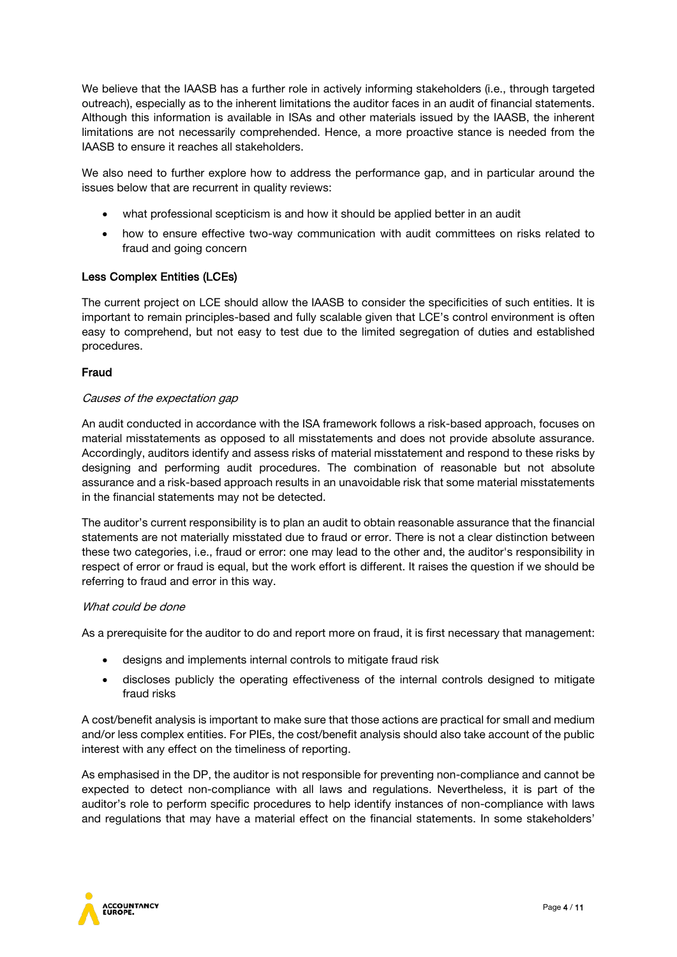We believe that the IAASB has a further role in actively informing stakeholders (i.e., through targeted outreach), especially as to the inherent limitations the auditor faces in an audit of financial statements. Although this information is available in ISAs and other materials issued by the IAASB, the inherent limitations are not necessarily comprehended. Hence, a more proactive stance is needed from the IAASB to ensure it reaches all stakeholders.

We also need to further explore how to address the performance gap, and in particular around the issues below that are recurrent in quality reviews:

- what professional scepticism is and how it should be applied better in an audit
- how to ensure effective two-way communication with audit committees on risks related to fraud and going concern

## Less Complex Entities (LCEs)

The current project on LCE should allow the IAASB to consider the specificities of such entities. It is important to remain principles-based and fully scalable given that LCE's control environment is often easy to comprehend, but not easy to test due to the limited segregation of duties and established procedures.

#### Fraud

#### Causes of the expectation gap

An audit conducted in accordance with the ISA framework follows a risk-based approach, focuses on material misstatements as opposed to all misstatements and does not provide absolute assurance. Accordingly, auditors identify and assess risks of material misstatement and respond to these risks by designing and performing audit procedures. The combination of reasonable but not absolute assurance and a risk-based approach results in an unavoidable risk that some material misstatements in the financial statements may not be detected.

The auditor's current responsibility is to plan an audit to obtain reasonable assurance that the financial statements are not materially misstated due to fraud or error. There is not a clear distinction between these two categories, i.e., fraud or error: one may lead to the other and, the auditor's responsibility in respect of error or fraud is equal, but the work effort is different. It raises the question if we should be referring to fraud and error in this way.

#### What could be done

As a prerequisite for the auditor to do and report more on fraud, it is first necessary that management:

- designs and implements internal controls to mitigate fraud risk
- discloses publicly the operating effectiveness of the internal controls designed to mitigate fraud risks

A cost/benefit analysis is important to make sure that those actions are practical for small and medium and/or less complex entities. For PIEs, the cost/benefit analysis should also take account of the public interest with any effect on the timeliness of reporting.

As emphasised in the DP, the auditor is not responsible for preventing non-compliance and cannot be expected to detect non-compliance with all laws and regulations. Nevertheless, it is part of the auditor's role to perform specific procedures to help identify instances of non-compliance with laws and regulations that may have a material effect on the financial statements. In some stakeholders'

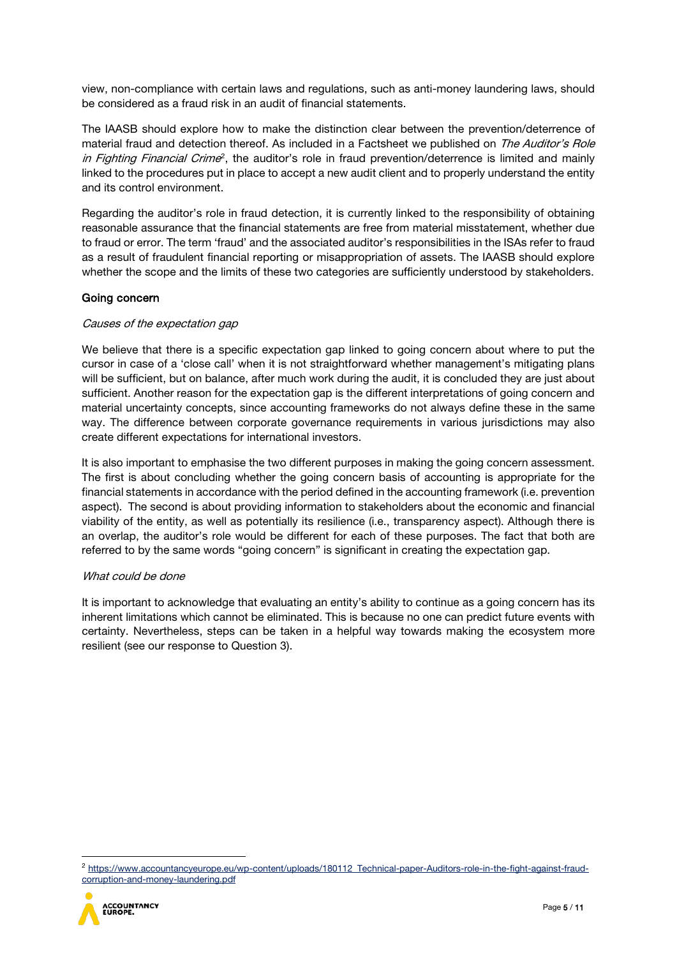view, non-compliance with certain laws and regulations, such as anti-money laundering laws, should be considered as a fraud risk in an audit of financial statements.

The IAASB should explore how to make the distinction clear between the prevention/deterrence of material fraud and detection thereof. As included in a Factsheet we published on The Auditor's Role *in Fighting Financial Crime*<sup>[2](#page-4-0)</sup>, the auditor's role in fraud prevention/deterrence is limited and mainly linked to the procedures put in place to accept a new audit client and to properly understand the entity and its control environment.

Regarding the auditor's role in fraud detection, it is currently linked to the responsibility of obtaining reasonable assurance that the financial statements are free from material misstatement, whether due to fraud or error. The term 'fraud' and the associated auditor's responsibilities in the ISAs refer to fraud as a result of fraudulent financial reporting or misappropriation of assets. The IAASB should explore whether the scope and the limits of these two categories are sufficiently understood by stakeholders.

## Going concern

#### Causes of the expectation gap

We believe that there is a specific expectation gap linked to going concern about where to put the cursor in case of a 'close call' when it is not straightforward whether management's mitigating plans will be sufficient, but on balance, after much work during the audit, it is concluded they are just about sufficient. Another reason for the expectation gap is the different interpretations of going concern and material uncertainty concepts, since accounting frameworks do not always define these in the same way. The difference between corporate governance requirements in various jurisdictions may also create different expectations for international investors.

It is also important to emphasise the two different purposes in making the going concern assessment. The first is about concluding whether the going concern basis of accounting is appropriate for the financial statements in accordance with the period defined in the accounting framework (i.e. prevention aspect). The second is about providing information to stakeholders about the economic and financial viability of the entity, as well as potentially its resilience (i.e., transparency aspect). Although there is an overlap, the auditor's role would be different for each of these purposes. The fact that both are referred to by the same words "going concern" is significant in creating the expectation gap.

#### What could be done

It is important to acknowledge that evaluating an entity's ability to continue as a going concern has its inherent limitations which cannot be eliminated. This is because no one can predict future events with certainty. Nevertheless, steps can be taken in a helpful way towards making the ecosystem more resilient (see our response to Question 3).

<span id="page-4-0"></span><sup>2</sup> [https://www.accountancyeurope.eu/wp-content/uploads/180112\\_Technical-paper-Auditors-role-in-the-fight-against-fraud](https://www.accountancyeurope.eu/wp-content/uploads/180112_Technical-paper-Auditors-role-in-the-fight-against-fraud-corruption-and-money-laundering.pdf)[corruption-and-money-laundering.pdf](https://www.accountancyeurope.eu/wp-content/uploads/180112_Technical-paper-Auditors-role-in-the-fight-against-fraud-corruption-and-money-laundering.pdf)

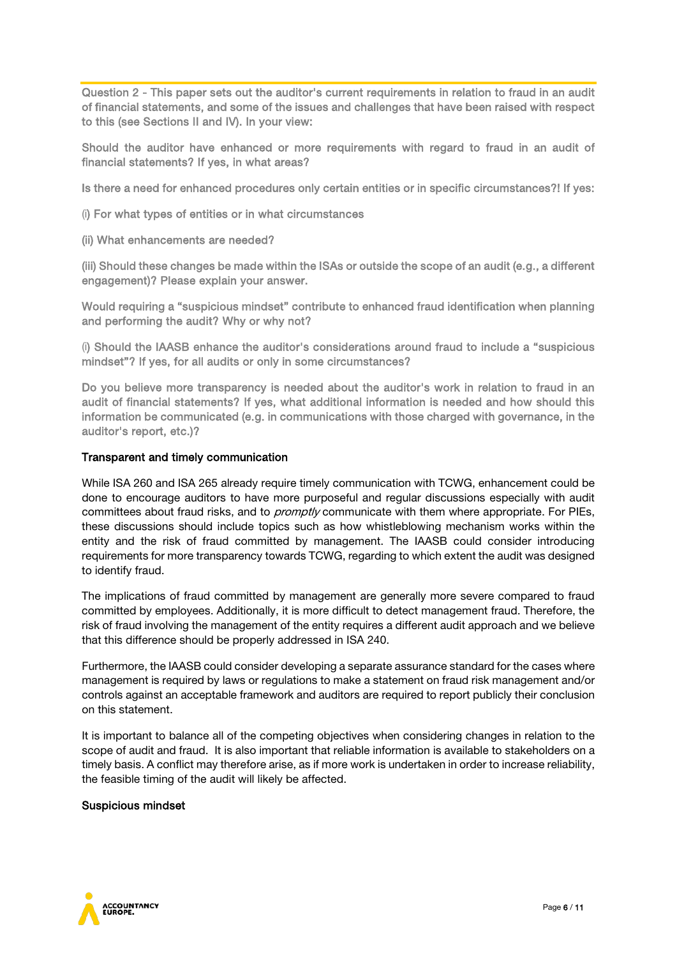Question 2 - This paper sets out the auditor's current requirements in relation to fraud in an audit of financial statements, and some of the issues and challenges that have been raised with respect to this (see Sections II and IV). In your view:

Should the auditor have enhanced or more requirements with regard to fraud in an audit of financial statements? If yes, in what areas?

Is there a need for enhanced procedures only certain entities or in specific circumstances?! If yes:

- (i) For what types of entities or in what circumstances
- (ii) What enhancements are needed?

(iii) Should these changes be made within the ISAs or outside the scope of an audit (e.g., a different engagement)? Please explain your answer.

Would requiring a "suspicious mindset" contribute to enhanced fraud identification when planning and performing the audit? Why or why not?

(i) Should the IAASB enhance the auditor's considerations around fraud to include a "suspicious mindset"? If yes, for all audits or only in some circumstances?

Do you believe more transparency is needed about the auditor's work in relation to fraud in an audit of financial statements? If yes, what additional information is needed and how should this information be communicated (e.g. in communications with those charged with governance, in the auditor's report, etc.)?

#### Transparent and timely communication

While ISA 260 and ISA 265 already require timely communication with TCWG, enhancement could be done to encourage auditors to have more purposeful and regular discussions especially with audit committees about fraud risks, and to *promptly* communicate with them where appropriate. For PIEs, these discussions should include topics such as how whistleblowing mechanism works within the entity and the risk of fraud committed by management. The IAASB could consider introducing requirements for more transparency towards TCWG, regarding to which extent the audit was designed to identify fraud.

The implications of fraud committed by management are generally more severe compared to fraud committed by employees. Additionally, it is more difficult to detect management fraud. Therefore, the risk of fraud involving the management of the entity requires a different audit approach and we believe that this difference should be properly addressed in ISA 240.

Furthermore, the IAASB could consider developing a separate assurance standard for the cases where management is required by laws or regulations to make a statement on fraud risk management and/or controls against an acceptable framework and auditors are required to report publicly their conclusion on this statement.

It is important to balance all of the competing objectives when considering changes in relation to the scope of audit and fraud. It is also important that reliable information is available to stakeholders on a timely basis. A conflict may therefore arise, as if more work is undertaken in order to increase reliability, the feasible timing of the audit will likely be affected.

#### Suspicious mindset

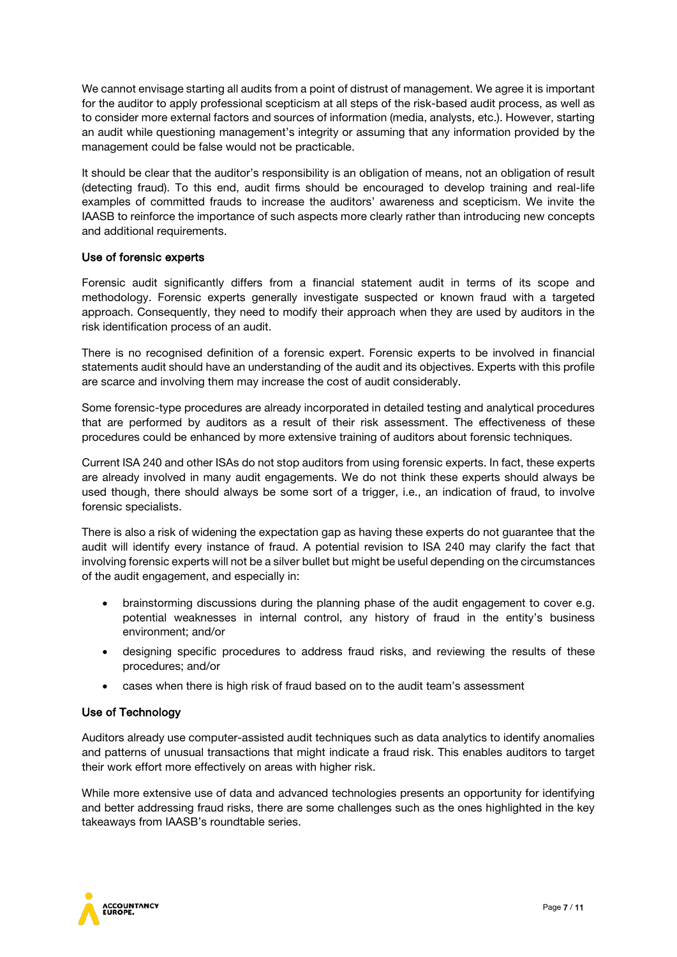We cannot envisage starting all audits from a point of distrust of management. We agree it is important for the auditor to apply professional scepticism at all steps of the risk-based audit process, as well as to consider more external factors and sources of information (media, analysts, etc.). However, starting an audit while questioning management's integrity or assuming that any information provided by the management could be false would not be practicable.

It should be clear that the auditor's responsibility is an obligation of means, not an obligation of result (detecting fraud). To this end, audit firms should be encouraged to develop training and real-life examples of committed frauds to increase the auditors' awareness and scepticism. We invite the IAASB to reinforce the importance of such aspects more clearly rather than introducing new concepts and additional requirements.

## Use of forensic experts

Forensic audit significantly differs from a financial statement audit in terms of its scope and methodology. Forensic experts generally investigate suspected or known fraud with a targeted approach. Consequently, they need to modify their approach when they are used by auditors in the risk identification process of an audit.

There is no recognised definition of a forensic expert. Forensic experts to be involved in financial statements audit should have an understanding of the audit and its objectives. Experts with this profile are scarce and involving them may increase the cost of audit considerably.

Some forensic-type procedures are already incorporated in detailed testing and analytical procedures that are performed by auditors as a result of their risk assessment. The effectiveness of these procedures could be enhanced by more extensive training of auditors about forensic techniques.

Current ISA 240 and other ISAs do not stop auditors from using forensic experts. In fact, these experts are already involved in many audit engagements. We do not think these experts should always be used though, there should always be some sort of a trigger, i.e., an indication of fraud, to involve forensic specialists.

There is also a risk of widening the expectation gap as having these experts do not guarantee that the audit will identify every instance of fraud. A potential revision to ISA 240 may clarify the fact that involving forensic experts will not be a silver bullet but might be useful depending on the circumstances of the audit engagement, and especially in:

- brainstorming discussions during the planning phase of the audit engagement to cover e.g. potential weaknesses in internal control, any history of fraud in the entity's business environment; and/or
- designing specific procedures to address fraud risks, and reviewing the results of these procedures; and/or
- cases when there is high risk of fraud based on to the audit team's assessment

## Use of Technology

Auditors already use computer-assisted audit techniques such as data analytics to identify anomalies and patterns of unusual transactions that might indicate a fraud risk. This enables auditors to target their work effort more effectively on areas with higher risk.

While more extensive use of data and advanced technologies presents an opportunity for identifying and better addressing fraud risks, there are some challenges such as the ones highlighted in the key takeaways from IAASB's roundtable series.

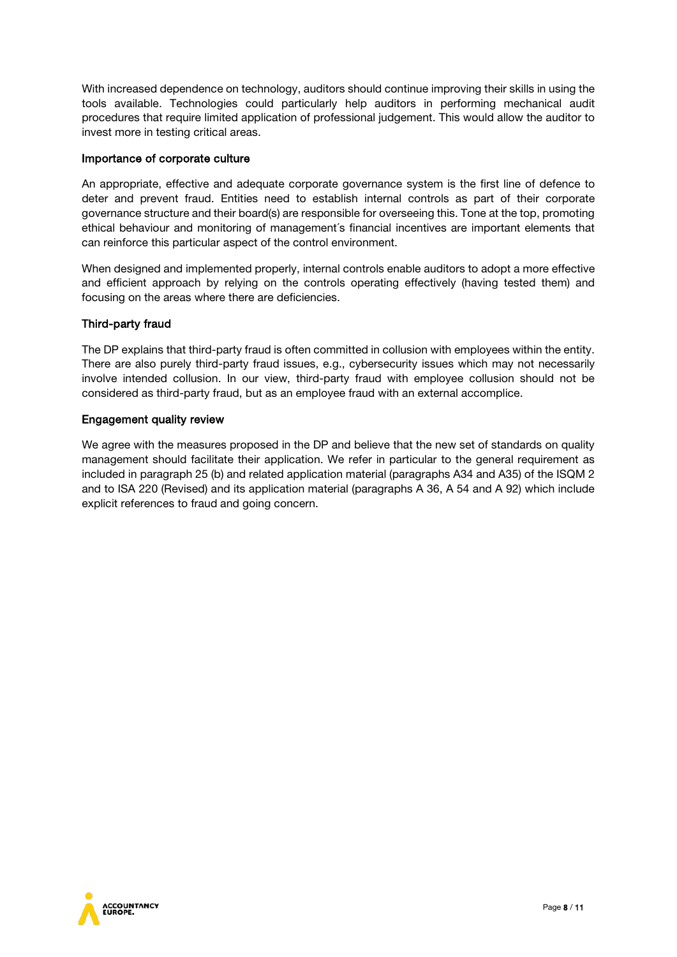With increased dependence on technology, auditors should continue improving their skills in using the tools available. Technologies could particularly help auditors in performing mechanical audit procedures that require limited application of professional judgement. This would allow the auditor to invest more in testing critical areas.

## Importance of corporate culture

An appropriate, effective and adequate corporate governance system is the first line of defence to deter and prevent fraud. Entities need to establish internal controls as part of their corporate governance structure and their board(s) are responsible for overseeing this. Tone at the top, promoting ethical behaviour and monitoring of management´s financial incentives are important elements that can reinforce this particular aspect of the control environment.

When designed and implemented properly, internal controls enable auditors to adopt a more effective and efficient approach by relying on the controls operating effectively (having tested them) and focusing on the areas where there are deficiencies.

# Third-party fraud

The DP explains that third-party fraud is often committed in collusion with employees within the entity. There are also purely third-party fraud issues, e.g., cybersecurity issues which may not necessarily involve intended collusion. In our view, third-party fraud with employee collusion should not be considered as third-party fraud, but as an employee fraud with an external accomplice.

# Engagement quality review

We agree with the measures proposed in the DP and believe that the new set of standards on quality management should facilitate their application. We refer in particular to the general requirement as included in paragraph 25 (b) and related application material (paragraphs A34 and A35) of the ISQM 2 and to ISA 220 (Revised) and its application material (paragraphs A 36, A 54 and A 92) which include explicit references to fraud and going concern.

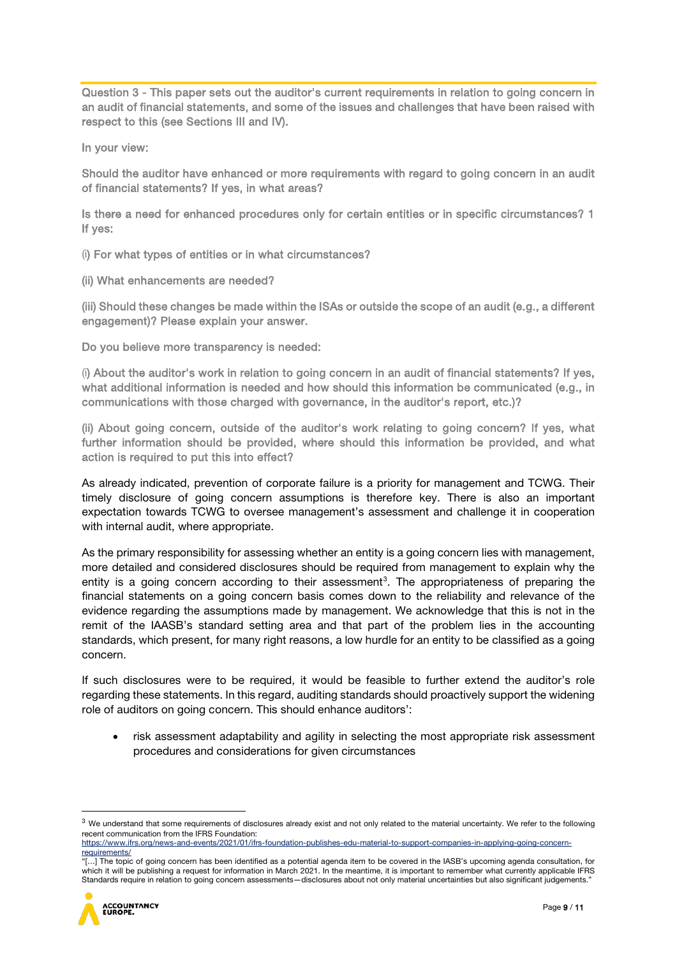Question 3 - This paper sets out the auditor's current requirements in relation to going concern in an audit of financial statements, and some of the issues and challenges that have been raised with respect to this (see Sections III and IV).

In your view:

Should the auditor have enhanced or more requirements with regard to going concern in an audit of financial statements? If yes, in what areas?

Is there a need for enhanced procedures only for certain entities or in specific circumstances? 1 If yes:

(i) For what types of entities or in what circumstances?

(ii) What enhancements are needed?

(iii) Should these changes be made within the ISAs or outside the scope of an audit (e.g., a different engagement)? Please explain your answer.

Do you believe more transparency is needed:

(i) About the auditor's work in relation to going concern in an audit of financial statements? If yes, what additional information is needed and how should this information be communicated (e.g., in communications with those charged with governance, in the auditor's report, etc.)?

(ii) About going concern, outside of the auditor's work relating to going concern? If yes, what further information should be provided, where should this information be provided, and what action is required to put this into effect?

As already indicated, prevention of corporate failure is a priority for management and TCWG. Their timely disclosure of going concern assumptions is therefore key. There is also an important expectation towards TCWG to oversee management's assessment and challenge it in cooperation with internal audit, where appropriate.

As the primary responsibility for assessing whether an entity is a going concern lies with management, more detailed and considered disclosures should be required from management to explain why the entity is a going concern according to their assessment<sup>[3](#page-8-0)</sup>. The appropriateness of preparing the financial statements on a going concern basis comes down to the reliability and relevance of the evidence regarding the assumptions made by management. We acknowledge that this is not in the remit of the IAASB's standard setting area and that part of the problem lies in the accounting standards, which present, for many right reasons, a low hurdle for an entity to be classified as a going concern.

If such disclosures were to be required, it would be feasible to further extend the auditor's role regarding these statements. In this regard, auditing standards should proactively support the widening role of auditors on going concern. This should enhance auditors':

• risk assessment adaptability and agility in selecting the most appropriate risk assessment procedures and considerations for given circumstances

<sup>&</sup>quot;[…] The topic of going concern has been identified as a potential agenda item to be covered in the IASB's upcoming agenda consultation, for which it will be publishing a request for information in March 2021. In the meantime, it is important to remember what currently applicable IFRS Standards require in relation to going concern assessments—disclosures about not only material uncertainties but also significant judgements."



<span id="page-8-0"></span><sup>&</sup>lt;sup>3</sup> We understand that some requirements of disclosures already exist and not only related to the material uncertainty. We refer to the following recent communication from the IFRS Foundation:

[https://www.ifrs.org/news-and-events/2021/01/ifrs-foundation-publishes-edu-material-to-support-companies-in-applying-going-concern](https://www.ifrs.org/news-and-events/2021/01/ifrs-foundation-publishes-edu-material-to-support-companies-in-applying-going-concern-requirements/)[requirements/](https://www.ifrs.org/news-and-events/2021/01/ifrs-foundation-publishes-edu-material-to-support-companies-in-applying-going-concern-requirements/)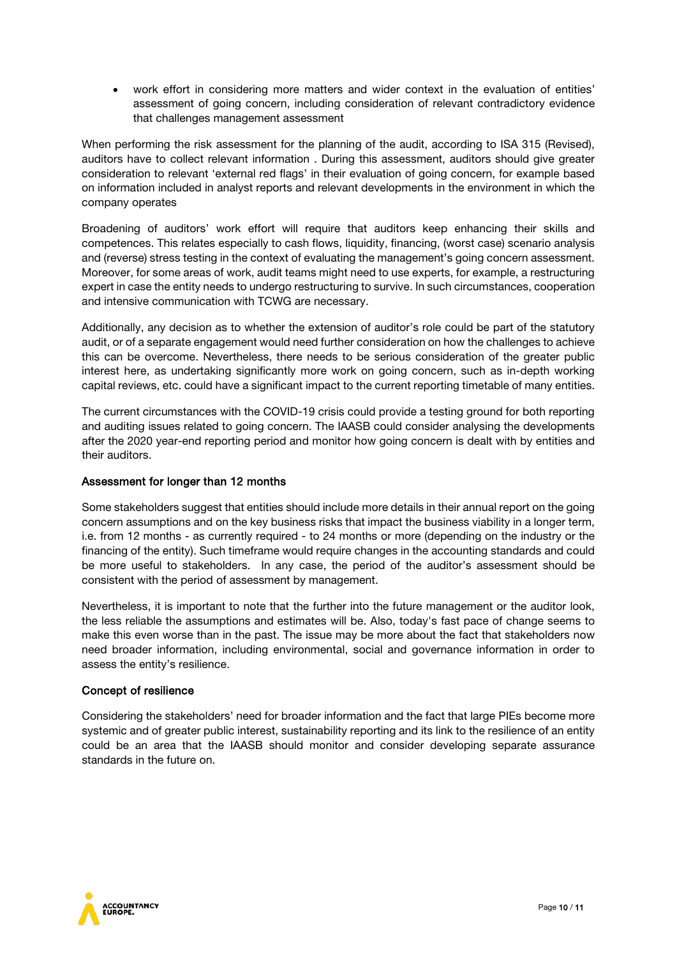• work effort in considering more matters and wider context in the evaluation of entities' assessment of going concern, including consideration of relevant contradictory evidence that challenges management assessment

When performing the risk assessment for the planning of the audit, according to ISA 315 (Revised), auditors have to collect relevant information . During this assessment, auditors should give greater consideration to relevant 'external red flags' in their evaluation of going concern, for example based on information included in analyst reports and relevant developments in the environment in which the company operates

Broadening of auditors' work effort will require that auditors keep enhancing their skills and competences. This relates especially to cash flows, liquidity, financing, (worst case) scenario analysis and (reverse) stress testing in the context of evaluating the management's going concern assessment. Moreover, for some areas of work, audit teams might need to use experts, for example, a restructuring expert in case the entity needs to undergo restructuring to survive. In such circumstances, cooperation and intensive communication with TCWG are necessary.

Additionally, any decision as to whether the extension of auditor's role could be part of the statutory audit, or of a separate engagement would need further consideration on how the challenges to achieve this can be overcome. Nevertheless, there needs to be serious consideration of the greater public interest here, as undertaking significantly more work on going concern, such as in-depth working capital reviews, etc. could have a significant impact to the current reporting timetable of many entities.

The current circumstances with the COVID-19 crisis could provide a testing ground for both reporting and auditing issues related to going concern. The IAASB could consider analysing the developments after the 2020 year-end reporting period and monitor how going concern is dealt with by entities and their auditors.

## Assessment for longer than 12 months

Some stakeholders suggest that entities should include more details in their annual report on the going concern assumptions and on the key business risks that impact the business viability in a longer term, i.e. from 12 months - as currently required - to 24 months or more (depending on the industry or the financing of the entity). Such timeframe would require changes in the accounting standards and could be more useful to stakeholders. In any case, the period of the auditor's assessment should be consistent with the period of assessment by management.

Nevertheless, it is important to note that the further into the future management or the auditor look, the less reliable the assumptions and estimates will be. Also, today's fast pace of change seems to make this even worse than in the past. The issue may be more about the fact that stakeholders now need broader information, including environmental, social and governance information in order to assess the entity's resilience.

## Concept of resilience

Considering the stakeholders' need for broader information and the fact that large PIEs become more systemic and of greater public interest, sustainability reporting and its link to the resilience of an entity could be an area that the IAASB should monitor and consider developing separate assurance standards in the future on.